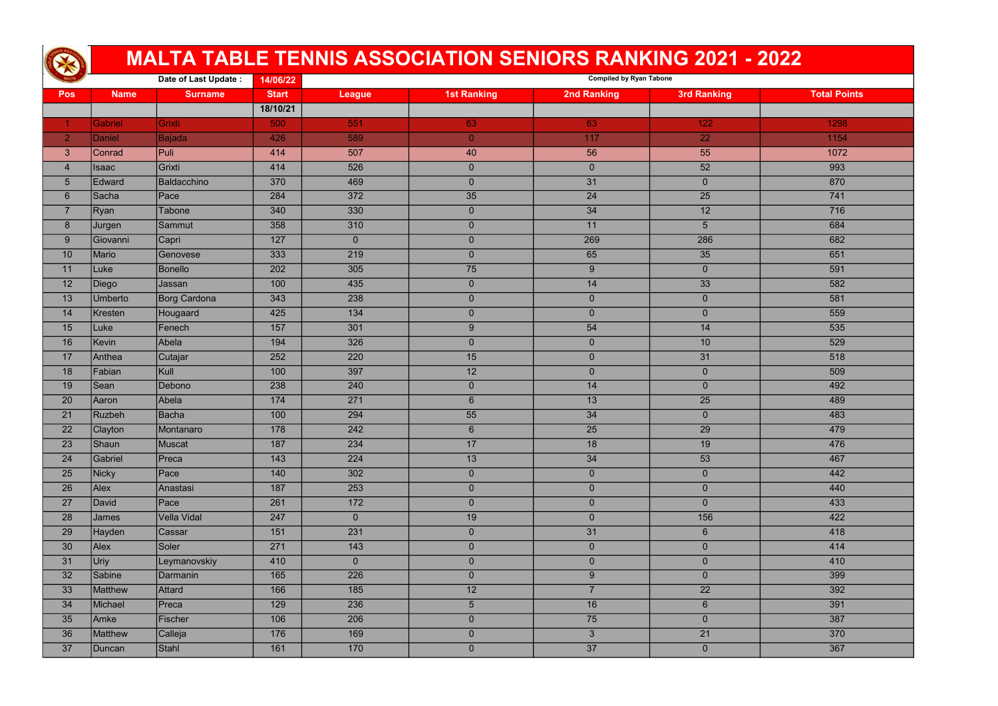|                |               |                      |              |                | <b>MALTA TABLE TENNIS ASSOCIATION SENIORS RANKING 2021 - 2022</b> |                                |                    |                     |
|----------------|---------------|----------------------|--------------|----------------|-------------------------------------------------------------------|--------------------------------|--------------------|---------------------|
|                |               | Date of Last Update: | 14/06/22     |                |                                                                   | <b>Compiled by Ryan Tabone</b> |                    |                     |
| <b>Pos</b>     | <b>Name</b>   | <b>Surname</b>       | <b>Start</b> | <b>League</b>  | <b>1st Ranking</b>                                                | <b>2nd Ranking</b>             | <b>3rd Ranking</b> | <b>Total Points</b> |
|                |               |                      | 18/10/21     |                |                                                                   |                                |                    |                     |
|                | Gabriel       | Grixti               | 500          | 551            | 63                                                                | 63                             | 122                | 1298                |
| $\overline{2}$ | Daniel        | Bajada               | 426          | 589            | $\mathbf{0}$                                                      | 117                            | 22                 | 1154                |
| $\mathbf{3}$   | <b>Conrad</b> | Puli                 | 414          | 507            | 40                                                                | 56                             | 55                 | 1072                |
| $\overline{4}$ | <b>Isaac</b>  | Grixti               | 414          | 526            | $\overline{0}$                                                    | $\overline{0}$                 | 52                 | 993                 |
| $\overline{5}$ | Edward        | Baldacchino          | 370          | 469            | $\overline{0}$                                                    | 31                             | $\overline{0}$     | 870                 |
| $6\phantom{1}$ | Sacha         | Pace                 | 284          | 372            | 35                                                                | $\overline{24}$                | 25                 | 741                 |
| $\overline{7}$ | Ryan          | Tabone               | 340          | 330            | $\overline{0}$                                                    | 34                             | 12                 | 716                 |
| 8              | Jurgen        | Sammut               | 358          | 310            | $\overline{0}$                                                    | 11                             | 5                  | 684                 |
| 9              | Giovanni      | Capri                | 127          | $\overline{0}$ | $\overline{0}$                                                    | 269                            | 286                | 682                 |
| 10             | Mario         | Genovese             | 333          | 219            | $\overline{0}$                                                    | 65                             | 35                 | 651                 |
| 11             | Luke          | Bonello              | 202          | 305            | 75                                                                | 9                              | $\overline{0}$     | 591                 |
| 12             | Diego         | Jassan               | 100          | 435            | $\overline{0}$                                                    | 14                             | 33                 | 582                 |
| 13             | Umberto       | Borg Cardona         | 343          | 238            | $\overline{0}$                                                    | $\overline{0}$                 | $\overline{0}$     | 581                 |
| 14             | Kresten       | Hougaard             | 425          | 134            | $\overline{0}$                                                    | $\overline{0}$                 | $\overline{0}$     | 559                 |
| 15             | Luke          | Fenech               | 157          | 301            | 9                                                                 | 54                             | 14                 | 535                 |
| 16             | Kevin         | Abela                | 194          | 326            | $\overline{0}$                                                    | $\overline{0}$                 | 10                 | 529                 |
| 17             | Anthea        | Cutajar              | 252          | 220            | 15                                                                | $\overline{0}$                 | 31                 | 518                 |
| 18             | Fabian        | Kull                 | 100          | 397            | 12                                                                | $\overline{0}$                 | $\overline{0}$     | 509                 |
| 19             | Sean          | Debono               | 238          | 240            | $\overline{0}$                                                    | 14                             | $\overline{0}$     | 492                 |
| 20             | Aaron         | Abela                | 174          | 271            | $6 \overline{6}$                                                  | 13                             | 25                 | 489                 |
| 21             | Ruzbeh        | Bacha                | 100          | 294            | 55                                                                | 34                             | 0                  | 483                 |
| 22             | Clayton       | Montanaro            | 178          | 242            | 6 <sup>1</sup>                                                    | 25                             | 29                 | 479                 |
| 23             | Shaun         | Muscat               | 187          | 234            | 17                                                                | 18                             | 19                 | 476                 |
| 24             | Gabriel       | Preca                | 143          | 224            | 13                                                                | 34                             | 53                 | 467                 |
| 25             | Nicky         | Pace                 | 140          | 302            | $\overline{0}$                                                    | $\overline{0}$                 | $\overline{0}$     | 442                 |
| 26             | Alex          | Anastasi             | 187          | 253            | $\overline{0}$                                                    | $\overline{0}$                 | $\overline{0}$     | 440                 |
| 27             | David         | Pace                 | 261          | 172            | $\overline{0}$                                                    | $\overline{0}$                 | $\overline{0}$     | 433                 |
| 28             | James         | Vella Vidal          | 247          | $\overline{0}$ | 19                                                                | $\overline{0}$                 | 156                | 422                 |
| 29             | Hayden        | Cassar               | 151          | 231            | $\overline{0}$                                                    | 31                             | 6 <sup>1</sup>     | 418                 |
| 30             | Alex          | Soler                | 271          | 143            | $\overline{0}$                                                    | $\mathbf{0}$                   | $\overline{0}$     | 414                 |
| 31             | Uriy          | Leymanovskiy         | 410          | $\overline{0}$ | $\overline{0}$                                                    | $\overline{0}$                 | $\overline{0}$     | 410                 |
| 32             | Sabine        | Darmanin             | 165          | 226            | $\overline{0}$                                                    | 9 <sup>°</sup>                 | $\overline{0}$     | 399                 |
| 33             | Matthew       | Attard               | 166          | 185            | 12                                                                | $\overline{7}$                 | $\overline{22}$    | 392                 |
| 34             | Michael       | Preca                | 129          | 236            | 5                                                                 | 16                             | 6 <sup>1</sup>     | 391                 |
| 35             | Amke          | Fischer              | 106          | 206            | $\overline{0}$                                                    | 75                             | $\overline{0}$     | 387                 |
| 36             | Matthew       | Calleja              | 176          | 169            | $\overline{0}$                                                    | 3 <sup>1</sup>                 | 21                 | 370                 |
| 37             | Duncan        | Stahl                | 161          | 170            | $\overline{0}$                                                    | 37                             | $\overline{0}$     | 367                 |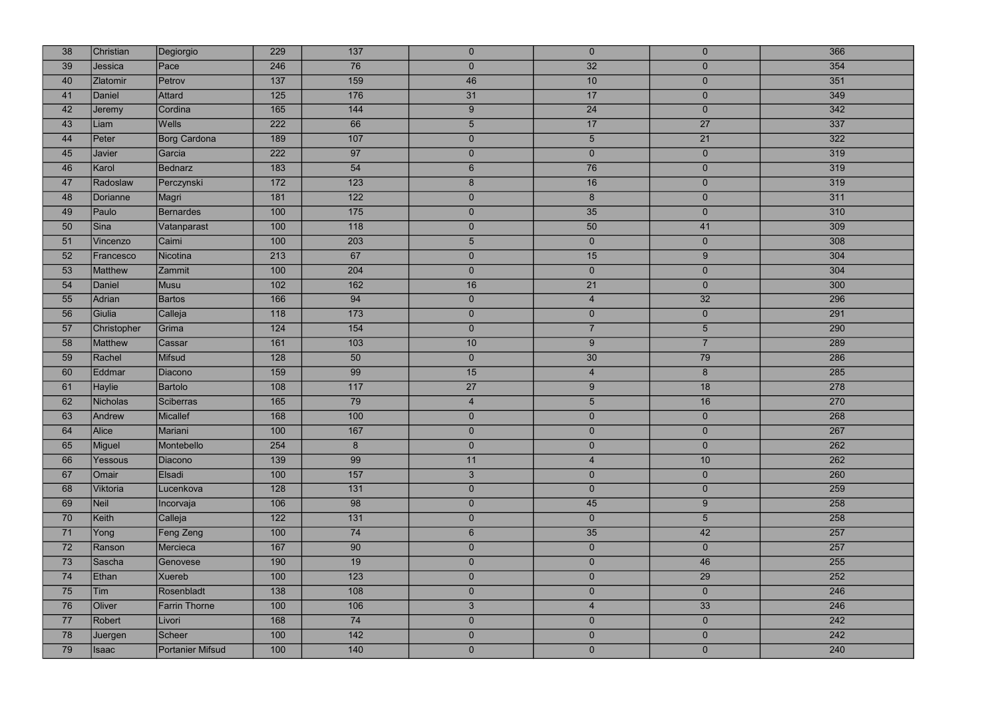| 38 | Christian       | Degiorgio            | 229 | $\overline{137}$ | $\overline{0}$  | $\overline{0}$  | $\overline{0}$  | 366 |
|----|-----------------|----------------------|-----|------------------|-----------------|-----------------|-----------------|-----|
| 39 | Jessica         | Pace                 | 246 | 76               | $\overline{0}$  | 32              | $\overline{0}$  | 354 |
| 40 | <b>Zlatomir</b> | Petrov               | 137 | 159              | 46              | 10              | $\mathbf{0}$    | 351 |
| 41 | Daniel          | Attard               | 125 | 176              | 31              | 17              | $\overline{0}$  | 349 |
| 42 | Jeremy          | Cordina              | 165 | 144              | 9               | 24              | $\overline{0}$  | 342 |
| 43 | Liam            | <b>Wells</b>         | 222 | 66               | 5 <sup>5</sup>  | 17              | 27              | 337 |
| 44 | Peter           | Borg Cardona         | 189 | 107              | $\overline{0}$  | $5\phantom{.0}$ | 21              | 322 |
| 45 | Javier          | Garcia               | 222 | 97               | $\pmb{0}$       | $\overline{0}$  | $\mathbf{0}$    | 319 |
| 46 | Karol           | <b>Bednarz</b>       | 183 | 54               | $6\overline{6}$ | 76              | $\overline{0}$  | 319 |
| 47 | Radoslaw        | Perczynski           | 172 | 123              | $\bf{8}$        | 16              | $\mathbf{0}$    | 319 |
| 48 | Dorianne        | Magri                | 181 | 122              | $\overline{0}$  | 8 <sup>°</sup>  | $\overline{0}$  | 311 |
| 49 | Paulo           | <b>Bernardes</b>     | 100 | 175              | $\overline{0}$  | 35              | $\mathbf{0}$    | 310 |
| 50 | Sina            | Vatanparast          | 100 | 118              | $\overline{0}$  | 50              | 41              | 309 |
| 51 | Vincenzo        | Caimi                | 100 | 203              | 5               | $\overline{0}$  | $\mathbf 0$     | 308 |
| 52 | Francesco       | Nicotina             | 213 | 67               | $\overline{0}$  | 15              | 9               | 304 |
| 53 | Matthew         | Zammit               | 100 | 204              | $\overline{0}$  | $\overline{0}$  | $\overline{0}$  | 304 |
| 54 | Daniel          | Musu                 | 102 | 162              | 16              | 21              | $\overline{0}$  | 300 |
| 55 | Adrian          | <b>Bartos</b>        | 166 | 94               | $\overline{0}$  | $\overline{4}$  | 32              | 296 |
| 56 | Giulia          | Calleja              | 118 | 173              | $\pmb{0}$       | $\mathbf 0$     | $\overline{0}$  | 291 |
| 57 | Christopher     | Grima                | 124 | 154              | $\overline{0}$  | $\overline{7}$  | $5\overline{)}$ | 290 |
| 58 | Matthew         | Cassar               | 161 | 103              | $10$            | 9               | $\overline{7}$  | 289 |
| 59 | Rachel          | Mifsud               | 128 | 50               | $\overline{0}$  | 30              | 79              | 286 |
| 60 | Eddmar          | Diacono              | 159 | 99               | 15              | $\overline{4}$  | $8\phantom{1}$  | 285 |
| 61 | <b>Haylie</b>   | <b>Bartolo</b>       | 108 | 117              | 27              | 9               | 18              | 278 |
| 62 | <b>Nicholas</b> | Sciberras            | 165 | 79               | $\overline{4}$  | $5\phantom{.0}$ | 16              | 270 |
| 63 | Andrew          | Micallef             | 168 | 100              | $\overline{0}$  | $\overline{0}$  | $\overline{0}$  | 268 |
| 64 | <b>Alice</b>    | Mariani              | 100 | 167              | $\overline{0}$  | $\overline{0}$  | $\overline{0}$  | 267 |
| 65 | Miguel          | Montebello           | 254 | $8\phantom{1}$   | $\overline{0}$  | $\overline{0}$  | $\overline{0}$  | 262 |
| 66 | Yessous         | <b>Diacono</b>       | 139 | 99               | 11              | $\overline{4}$  | 10              | 262 |
| 67 | Omair           | Elsadi               | 100 | 157              | $\mathbf{3}$    | $\overline{0}$  | $\overline{0}$  | 260 |
| 68 | Viktoria        | Lucenkova            | 128 | 131              | $\pmb{0}$       | $\overline{0}$  | $\overline{0}$  | 259 |
| 69 | Neil            | Incorvaja            | 106 | 98               | $\overline{0}$  | 45              | 9               | 258 |
| 70 | Keith           | Calleja              | 122 | 131              | $\pmb{0}$       | $\overline{0}$  | $5\phantom{.}$  | 258 |
| 71 | Yong            | Feng Zeng            | 100 | 74               | $6\phantom{.}$  | 35              | 42              | 257 |
| 72 | Ranson          | Mercieca             | 167 | 90               | $\overline{0}$  | $\overline{0}$  | $\overline{0}$  | 257 |
| 73 | Sascha          | Genovese             | 190 | 19               | $\overline{0}$  | $\overline{0}$  | 46              | 255 |
| 74 | Ethan           | Xuereb               | 100 | 123              | $\overline{0}$  | $\overline{0}$  | 29              | 252 |
| 75 | Tim             | Rosenbladt           | 138 | 108              | $\overline{0}$  | $\overline{0}$  | $\overline{0}$  | 246 |
| 76 | Oliver          | <b>Farrin Thorne</b> | 100 | 106              | 3               | $\overline{4}$  | 33              | 246 |
| 77 | Robert          | Livori               | 168 | 74               | $\pmb{0}$       | $\overline{0}$  | $\overline{0}$  | 242 |
| 78 | Juergen         | Scheer               | 100 | 142              | $\overline{0}$  | $\overline{0}$  | $\overline{0}$  | 242 |
| 79 | <b>Isaac</b>    | Portanier Mifsud     | 100 | 140              | $\overline{0}$  | $\overline{0}$  | $\overline{0}$  | 240 |

| 366              |
|------------------|
| 354              |
| 351              |
| 349              |
| $\overline{342}$ |
| $\overline{337}$ |
| 322              |
| 319              |
| 319              |
| 319              |
| 311              |
| 310              |
| 309              |
| 308              |
| 304              |
| $\overline{304}$ |
| 300              |
| 296              |
| 291              |
| 290              |
| 289              |
| 286              |
| 285              |
| 278              |
| 270              |
| 268              |
| 267              |
| 262              |
| 262              |
| 260              |
| 259              |
| 258              |
| 258              |
| 257              |
| 257              |
| 255              |
| 252              |
| 246              |
| 246              |
| 242              |
| 242              |
| 240              |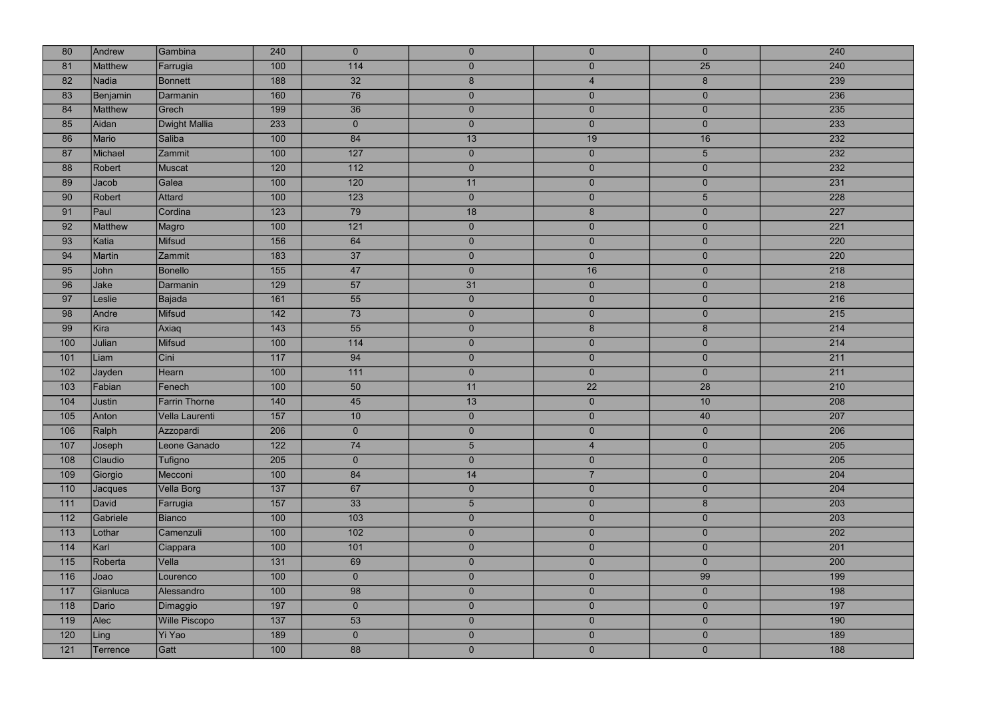| 80  | Andrew         | Gambina              | 240              | $\overline{0}$   | $\overline{0}$   | $\overline{0}$ | $\overline{0}$ | 240 |
|-----|----------------|----------------------|------------------|------------------|------------------|----------------|----------------|-----|
| 81  | Matthew        | Farrugia             | 100              | 114              | $\overline{0}$   | $\overline{0}$ | 25             | 240 |
| 82  | <b>Nadia</b>   | <b>Bonnett</b>       | 188              | 32               | $\boldsymbol{8}$ | $\overline{4}$ | 8              | 239 |
| 83  | Benjamin       | Darmanin             | 160              | 76               | $\overline{0}$   | $\overline{0}$ | $\overline{0}$ | 236 |
| 84  | Matthew        | Grech                | 199              | 36               | $\overline{0}$   | $\overline{0}$ | $\overline{0}$ | 235 |
| 85  | Aidan          | <b>Dwight Mallia</b> | 233              | $\overline{0}$   | $\overline{0}$   | $\overline{0}$ | $\overline{0}$ | 233 |
| 86  | Mario          | Saliba               | 100              | 84               | 13               | 19             | 16             | 232 |
| 87  | Michael        | Zammit               | 100              | 127              | $\overline{0}$   | $\overline{0}$ | 5 <sub>5</sub> | 232 |
| 88  | Robert         | Muscat               | 120              | $\overline{112}$ | $\overline{0}$   | $\overline{0}$ | $\overline{0}$ | 232 |
| 89  | Jacob          | Galea                | 100              | 120              | 11               | $\overline{0}$ | $\overline{0}$ | 231 |
| 90  | Robert         | Attard               | 100              | $\overline{123}$ | $\overline{0}$   | $\overline{0}$ | 5 <sup>5</sup> | 228 |
| 91  | Paul           | Cordina              | 123              | 79               | 18               | $\bf 8$        | $\overline{0}$ | 227 |
| 92  | <b>Matthew</b> | Magro                | 100              | $121$            | $\overline{0}$   | $\overline{0}$ | $\overline{0}$ | 221 |
| 93  | Katia          | <b>Mifsud</b>        | 156              | 64               | $\overline{0}$   | $\overline{0}$ | $\overline{0}$ | 220 |
| 94  | Martin         | Zammit               | 183              | 37               | $\overline{0}$   | $\overline{0}$ | $\overline{0}$ | 220 |
| 95  | John           | <b>Bonello</b>       | 155              | 47               | $\overline{0}$   | 16             | $\overline{0}$ | 218 |
| 96  | Jake           | Darmanin             | 129              | 57               | 31               | $\overline{0}$ | $\overline{0}$ | 218 |
| 97  | Leslie         | Bajada               | 161              | 55               | $\overline{0}$   | $\overline{0}$ | $\overline{0}$ | 216 |
| 98  | Andre          | Mifsud               | 142              | 73               | $\overline{0}$   | $\overline{0}$ | $\overline{0}$ | 215 |
| 99  | Kira           | Axiaq                | $\overline{143}$ | 55               | $\overline{0}$   | $8\phantom{1}$ | 8              | 214 |
| 100 | Julian         | Mifsud               | 100              | 114              | $\overline{0}$   | $\overline{0}$ | $\overline{0}$ | 214 |
| 101 | Liam           | Cini                 | 117              | 94               | $\overline{0}$   | $\overline{0}$ | $\overline{0}$ | 211 |
| 102 | Jayden         | Hearn                | 100              | 111              | $\overline{0}$   | $\overline{0}$ | $\overline{0}$ | 211 |
| 103 | Fabian         | Fenech               | 100              | 50               | 11               | 22             | 28             | 210 |
| 104 | Justin         | <b>Farrin Thorne</b> | 140              | 45               | 13               | $\overline{0}$ | 10             | 208 |
| 105 | Anton          | Vella Laurenti       | 157              | 10 <sup>°</sup>  | $\overline{0}$   | $\overline{0}$ | 40             | 207 |
| 106 | Ralph          | Azzopardi            | 206              | $\overline{0}$   | $\overline{0}$   | $\overline{0}$ | $\overline{0}$ | 206 |
| 107 | Joseph         | Leone Ganado         | $\overline{122}$ | 74               | 5                | $\overline{4}$ | $\overline{0}$ | 205 |
| 108 | Claudio        | Tufigno              | 205              | $\overline{0}$   | $\overline{0}$   | $\overline{0}$ | $\overline{0}$ | 205 |
| 109 | Giorgio        | Mecconi              | 100              | 84               | 14               | $\overline{7}$ | $\overline{0}$ | 204 |
| 110 | Jacques        | Vella Borg           | 137              | 67               | $\overline{0}$   | $\overline{0}$ | $\overline{0}$ | 204 |
| 111 | David          | Farrugia             | 157              | 33               | 5 <sup>5</sup>   | $\overline{0}$ | 8 <sup>°</sup> | 203 |
| 112 | Gabriele       | Bianco               | 100              | 103              | $\overline{0}$   | $\overline{0}$ | $\overline{0}$ | 203 |
| 113 | Lothar         | Camenzuli            | 100              | 102              | $\overline{0}$   | $\overline{0}$ | $\overline{0}$ | 202 |
| 114 | Karl           | Ciappara             | 100              | 101              | $\overline{0}$   | $\overline{0}$ | $\overline{0}$ | 201 |
| 115 | Roberta        | Vella                | 131              | 69               | $\overline{0}$   | $\overline{0}$ | $\overline{0}$ | 200 |
| 116 | Joao           | Lourenco             | 100              | $\overline{0}$   | $\overline{0}$   | $\overline{0}$ | 99             | 199 |
| 117 | Gianluca       | Alessandro           | 100              | 98               | $\overline{0}$   | $\overline{0}$ | $\overline{0}$ | 198 |
| 118 | Dario          | Dimaggio             | 197              | $\overline{0}$   | $\overline{0}$   | $\overline{0}$ | $\overline{0}$ | 197 |
| 119 | Alec           | <b>Wille Piscopo</b> | 137              | 53               | $\overline{0}$   | $\overline{0}$ | $\overline{0}$ | 190 |
| 120 | Ling           | Yi Yao               | 189              | $\overline{0}$   | $\overline{0}$   | $\overline{0}$ | $\overline{0}$ | 189 |
| 121 | Terrence       | Gatt                 | 100              | 88               | $\overline{0}$   | $\mathbf{0}$   | $\overline{0}$ | 188 |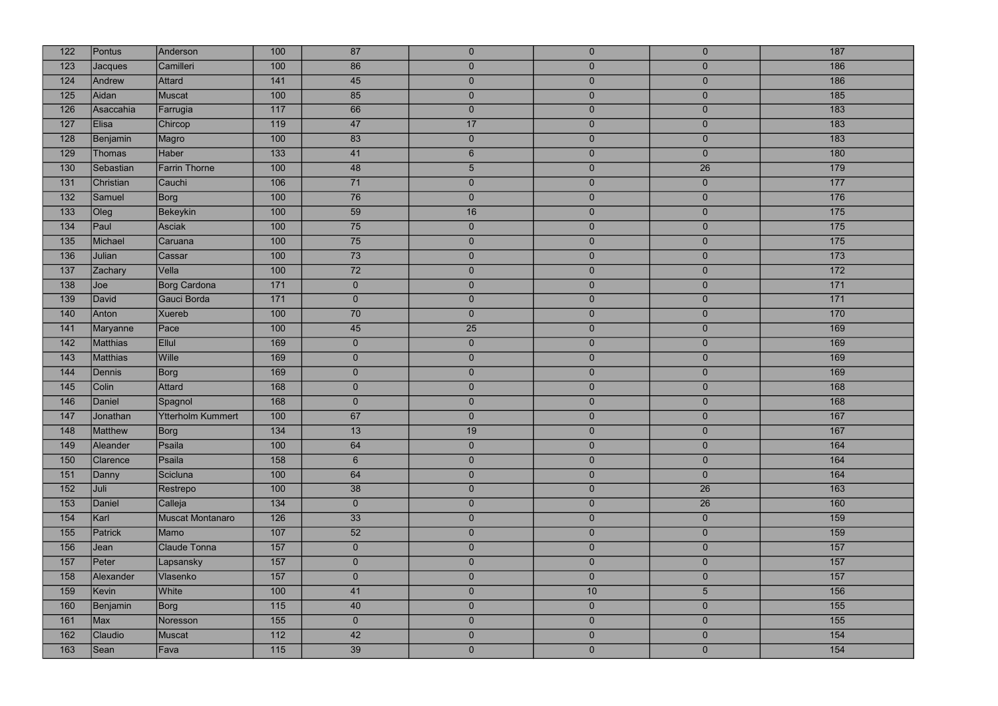| 122 | Pontus        | Anderson                 | 100              | 87             | $\overline{0}$ | $\overline{0}$ | $\overline{0}$  | 187              |
|-----|---------------|--------------------------|------------------|----------------|----------------|----------------|-----------------|------------------|
| 123 | Jacques       | Camilleri                | 100              | 86             | $\overline{0}$ | $\overline{0}$ | $\overline{0}$  | 186              |
| 124 | Andrew        | Attard                   | 141              | 45             | $\overline{0}$ | $\overline{0}$ | $\overline{0}$  | 186              |
| 125 | Aidan         | Muscat                   | 100              | 85             | $\overline{0}$ | $\overline{0}$ | $\overline{0}$  | 185              |
| 126 | Asaccahia     | Farrugia                 | $117$            | 66             | $\overline{0}$ | $\overline{0}$ | $\overline{0}$  | 183              |
| 127 | Elisa         | Chircop                  | $\overline{119}$ | 47             | 17             | $\overline{0}$ | $\overline{0}$  | 183              |
| 128 | Benjamin      | Magro                    | 100              | 83             | $\overline{0}$ | $\overline{0}$ | $\overline{0}$  | 183              |
| 129 | <b>Thomas</b> | Haber                    | 133              | 41             | 6 <sup>1</sup> | $\overline{0}$ | $\overline{0}$  | 180              |
| 130 | Sebastian     | <b>Farrin Thorne</b>     | 100              | 48             | 5 <sup>1</sup> | $\overline{0}$ | $\overline{26}$ | 179              |
| 131 | Christian     | Cauchi                   | 106              | 71             | $\overline{0}$ | $\overline{0}$ | $\overline{0}$  | 177              |
| 132 | Samuel        | Borg                     | 100              | 76             | $\overline{0}$ | $\overline{0}$ | $\overline{0}$  | 176              |
| 133 | Oleg          | <b>Bekeykin</b>          | 100              | 59             | 16             | $\overline{0}$ | $\overline{0}$  | 175              |
| 134 | Paul          | Asciak                   | 100              | 75             | $\overline{0}$ | $\overline{0}$ | $\overline{0}$  | 175              |
| 135 | Michael       | Caruana                  | 100              | 75             | $\overline{0}$ | $\overline{0}$ | $\overline{0}$  | 175              |
| 136 | Julian        | Cassar                   | 100              | 73             | $\overline{0}$ | $\overline{0}$ | $\overline{0}$  | 173              |
| 137 | Zachary       | Vella                    | 100              | 72             | $\overline{0}$ | $\overline{0}$ | $\overline{0}$  | $\overline{172}$ |
| 138 | Joe           | <b>Borg Cardona</b>      | 171              | $\overline{0}$ | $\overline{0}$ | $\mathbf{0}$   | $\overline{0}$  | 171              |
| 139 | David         | Gauci Borda              | $171$            | $\overline{0}$ | $\overline{0}$ | $\mathbf{0}$   | $\overline{0}$  | 171              |
| 140 | Anton         | Xuereb                   | 100              | 70             | $\overline{0}$ | $\mathbf{0}$   | $\overline{0}$  | 170              |
| 141 | Maryanne      | Pace                     | 100              | 45             | 25             | $\overline{0}$ | $\overline{0}$  | 169              |
| 142 | Matthias      | Ellul                    | 169              | $\overline{0}$ | $\overline{0}$ | $\mathbf{0}$   | $\overline{0}$  | 169              |
| 143 | Matthias      | Wille                    | 169              | $\overline{0}$ | $\overline{0}$ | $\overline{0}$ | $\overline{0}$  | 169              |
| 144 | Dennis        | Borg                     | 169              | $\overline{0}$ | $\overline{0}$ | $\mathbf{0}$   | $\overline{0}$  | 169              |
| 145 | Colin         | Attard                   | 168              | $\overline{0}$ | $\overline{0}$ | $\overline{0}$ | $\overline{0}$  | 168              |
| 146 | Daniel        | Spagnol                  | 168              | $\overline{0}$ | $\overline{0}$ | $\overline{0}$ | $\overline{0}$  | 168              |
| 147 | Jonathan      | <b>Ytterholm Kummert</b> | 100              | 67             | $\overline{0}$ | $\overline{0}$ | $\overline{0}$  | 167              |
| 148 | Matthew       | Borg                     | 134              | 13             | 19             | $\overline{0}$ | $\overline{0}$  | 167              |
| 149 | Aleander      | Psaila                   | 100              | 64             | $\overline{0}$ | $\overline{0}$ | $\overline{0}$  | 164              |
| 150 | Clarence      | Psaila                   | 158              | 6 <sup>1</sup> | $\overline{0}$ | $\overline{0}$ | $\overline{0}$  | 164              |
| 151 | Danny         | Scicluna                 | 100              | 64             | $\overline{0}$ | $\overline{0}$ | $\overline{0}$  | 164              |
| 152 | Juli          | Restrepo                 | 100              | 38             | $\overline{0}$ | $\overline{0}$ | 26              | 163              |
| 153 | Daniel        | Calleja                  | 134              | $\overline{0}$ | $\overline{0}$ | $\overline{0}$ | 26              | 160              |
| 154 | Karl          | Muscat Montanaro         | 126              | 33             | $\overline{0}$ | $\overline{0}$ | $\overline{0}$  | 159              |
| 155 | Patrick       | Mamo                     | 107              | 52             | $\overline{0}$ | $\overline{0}$ | $\overline{0}$  | 159              |
| 156 | Jean          | Claude Tonna             | 157              | $\overline{0}$ | $\overline{0}$ | $\overline{0}$ | $\overline{0}$  | 157              |
| 157 | Peter         | Lapsansky                | 157              | $\overline{0}$ | $\overline{0}$ | $\overline{0}$ | $\overline{0}$  | 157              |
| 158 | Alexander     | Vlasenko                 | 157              | $\overline{0}$ | $\overline{0}$ | $\overline{0}$ | $\overline{0}$  | 157              |
| 159 | Kevin         | White                    | 100              | 41             | $\overline{0}$ | $10$           | 5               | 156              |
| 160 | Benjamin      | Borg                     | $\overline{115}$ | 40             | $\overline{0}$ | $\overline{0}$ | $\overline{0}$  | 155              |
| 161 | Max           | Noresson                 | 155              | $\overline{0}$ | $\overline{0}$ | $\mathbf{0}$   | $\overline{0}$  | 155              |
| 162 | Claudio       | Muscat                   | 112              | 42             | $\overline{0}$ | $\overline{0}$ | $\overline{0}$  | 154              |
| 163 | Sean          | Fava                     | 115              | 39             | $\overline{0}$ | $\mathbf{0}$   | $\overline{0}$  | 154              |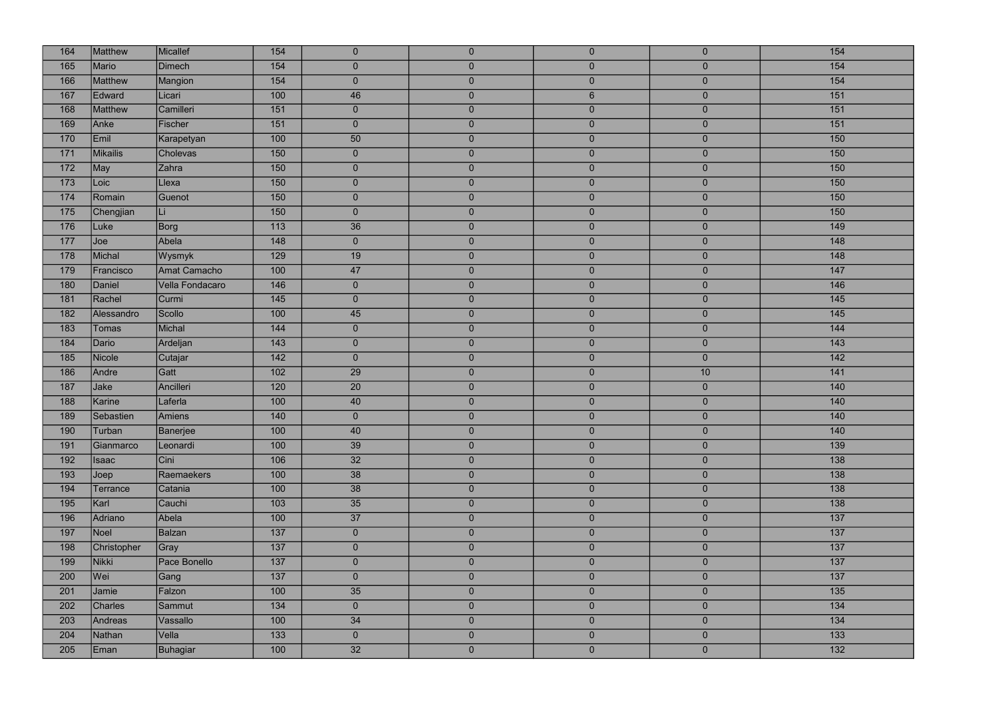| 164 | <b>Matthew</b>  | Micallef        | 154              | $\overline{0}$ | $\overline{0}$ | $\overline{0}$   | $\mathbf{0}$     | 154              |
|-----|-----------------|-----------------|------------------|----------------|----------------|------------------|------------------|------------------|
| 165 | Mario           | <b>Dimech</b>   | 154              | $\overline{0}$ | $\mathbf 0$    | $\overline{0}$   | $\overline{0}$   | 154              |
| 166 | Matthew         | Mangion         | 154              | $\overline{0}$ | $\pmb{0}$      | $\overline{0}$   | $\mathbf 0$      | 154              |
| 167 | Edward          | Licari          | 100              | 46             | $\overline{0}$ | $6 \overline{6}$ | $\mathbf{0}$     | 151              |
| 168 | Matthew         | Camilleri       | 151              | $\overline{0}$ | $\overline{0}$ | $\overline{0}$   | $\mathbf{0}$     | 151              |
| 169 | Anke            | Fischer         | 151              | $\mathbf 0$    | $\overline{0}$ | $\overline{0}$   | $\mathbf{0}$     | $\overline{151}$ |
| 170 | Emil            | Karapetyan      | 100              | 50             | $\overline{0}$ | $\overline{0}$   | $\overline{0}$   | 150              |
| 171 | <b>Mikailis</b> | Cholevas        | 150              | $\mathbf 0$    | $\mathbf 0$    | $\overline{0}$   | $\pmb{0}$        | 150              |
| 172 | May             | Zahra           | 150              | $\overline{0}$ | $\overline{0}$ | $\overline{0}$   | $\mathbf{0}$     | 150              |
| 173 | Loic            | Llexa           | 150              | $\overline{0}$ | $\overline{0}$ | $\overline{0}$   | $\bf 0$          | 150              |
| 174 | Romain          | Guenot          | 150              | $\overline{0}$ | $\mathbf{0}$   | $\overline{0}$   | $\overline{0}$   | 150              |
| 175 | Chengjian       | Li              | 150              | $\overline{0}$ | $\pmb{0}$      | $\overline{0}$   | $\mathbf{0}$     | 150              |
| 176 | Luke            | Borg            | 113              | 36             | $\overline{0}$ | $\overline{0}$   | $\overline{0}$   | 149              |
| 177 | Joe             | Abela           | 148              | $\mathbf{0}$   | $\pmb{0}$      | $\overline{0}$   | $\pmb{0}$        | 148              |
| 178 | Michal          | Wysmyk          | 129              | 19             | $\overline{0}$ | $\overline{0}$   | $\mathbf{0}$     | 148              |
| 179 | Francisco       | Amat Camacho    | 100              | 47             | $\overline{0}$ | $\overline{0}$   | $\mathbf{0}$     | 147              |
| 180 | Daniel          | Vella Fondacaro | 146              | $\overline{0}$ | $\overline{0}$ | $\overline{0}$   | $\overline{0}$   | 146              |
| 181 | Rachel          | Curmi           | 145              | $\mathbf 0$    | $\overline{0}$ | $\overline{0}$   | $\mathbf{0}$     | 145              |
| 182 | Alessandro      | Scollo          | 100              | 45             | $\mathbf 0$    | $\overline{0}$   | $\boldsymbol{0}$ | 145              |
| 183 | <b>Tomas</b>    | Michal          | 144              | $\overline{0}$ | $\overline{0}$ | $\overline{0}$   | $\overline{0}$   | 144              |
| 184 | Dario           | Ardeljan        | 143              | $\bf 0$        | $\overline{0}$ | $\overline{0}$   | $\mathbf{0}$     | 143              |
| 185 | Nicole          | Cutajar         | 142              | $\overline{0}$ | $\mathbf 0$    | $\overline{0}$   | $\overline{0}$   | 142              |
| 186 | Andre           | Gatt            | 102              | 29             | $\pmb{0}$      | $\overline{0}$   | 10               | 141              |
| 187 | Jake            | Ancilleri       | 120              | 20             | $\overline{0}$ | $\overline{0}$   | $\mathbf{0}$     | 140              |
| 188 | Karine          | Laferla         | 100              | 40             | $\overline{0}$ | $\overline{0}$   | $\mathbf{0}$     | 140              |
| 189 | Sebastien       | Amiens          | 140              | $\overline{0}$ | $\overline{0}$ | $\overline{0}$   | $\overline{0}$   | 140              |
| 190 | Turban          | Banerjee        | 100              | 40             | $\overline{0}$ | $\overline{0}$   | $\overline{0}$   | 140              |
| 191 | Gianmarco       | Leonardi        | 100              | 39             | $\overline{0}$ | $\overline{0}$   | $\pmb{0}$        | 139              |
| 192 | <b>Isaac</b>    | Cini            | 106              | 32             | $\overline{0}$ | $\overline{0}$   | $\bf 0$          | 138              |
| 193 | Joep            | Raemaekers      | 100              | 38             | $\overline{0}$ | $\overline{0}$   | $\overline{0}$   | 138              |
| 194 | Terrance        | Catania         | 100              | 38             | $\overline{0}$ | $\overline{0}$   | $\mathbf{0}$     | 138              |
| 195 | Karl            | Cauchi          | 103              | 35             | $\overline{0}$ | $\overline{0}$   | $\overline{0}$   | 138              |
| 196 | Adriano         | Abela           | 100              | 37             | $\pmb{0}$      | $\overline{0}$   | $\overline{0}$   | 137              |
| 197 | Noel            | <b>Balzan</b>   | 137              | $\overline{0}$ | $\overline{0}$ | $\overline{0}$   | $\overline{0}$   | 137              |
| 198 | Christopher     | Gray            | 137              | $\overline{0}$ | $\overline{0}$ | $\overline{0}$   | $\mathbf{0}$     | 137              |
| 199 | <b>Nikki</b>    | Pace Bonello    | 137              | $\overline{0}$ | $\overline{0}$ | $\overline{0}$   | $\mathbf{0}$     | 137              |
| 200 | Wei             | Gang            | $\overline{137}$ | $\overline{0}$ | $\overline{0}$ | $\overline{0}$   | $\mathbf{0}$     | 137              |
| 201 | Jamie           | Falzon          | 100              | 35             | $\overline{0}$ | $\overline{0}$   | $\mathbf{0}$     | 135              |
| 202 | Charles         | Sammut          | 134              | $\overline{0}$ | $\overline{0}$ | $\overline{0}$   | $\mathbf{0}$     | 134              |
| 203 | Andreas         | Vassallo        | 100              | 34             | $\overline{0}$ | $\overline{0}$   | $\mathbf{0}$     | 134              |
| 204 | Nathan          | Vella           | 133              | $\overline{0}$ | $\overline{0}$ | $\overline{0}$   | $\overline{0}$   | 133              |
| 205 | Eman            | <b>Buhagiar</b> | 100              | 32             | $\overline{0}$ | $\mathbf{0}$     | $\overline{0}$   | 132              |

| 154              |
|------------------|
| 154              |
| 154              |
| $\overline{151}$ |
| 151              |
| 151              |
| 150              |
| 150              |
| 150              |
| 150              |
| 150              |
| 150              |
| 149              |
| 148              |
| 148              |
| 147              |
| 146              |
| 145              |
| 145              |
| 144              |
| 143              |
| 142              |
| 141              |
| 140              |
| 140              |
| 140              |
| 140              |
| 139              |
| 138              |
| 138              |
| 138              |
| 138              |
| 137              |
| $\overline{137}$ |
| $\overline{137}$ |
| 137              |
| $\overline{137}$ |
| 135              |
| 134              |
| 134              |
| 133              |
| $\overline{132}$ |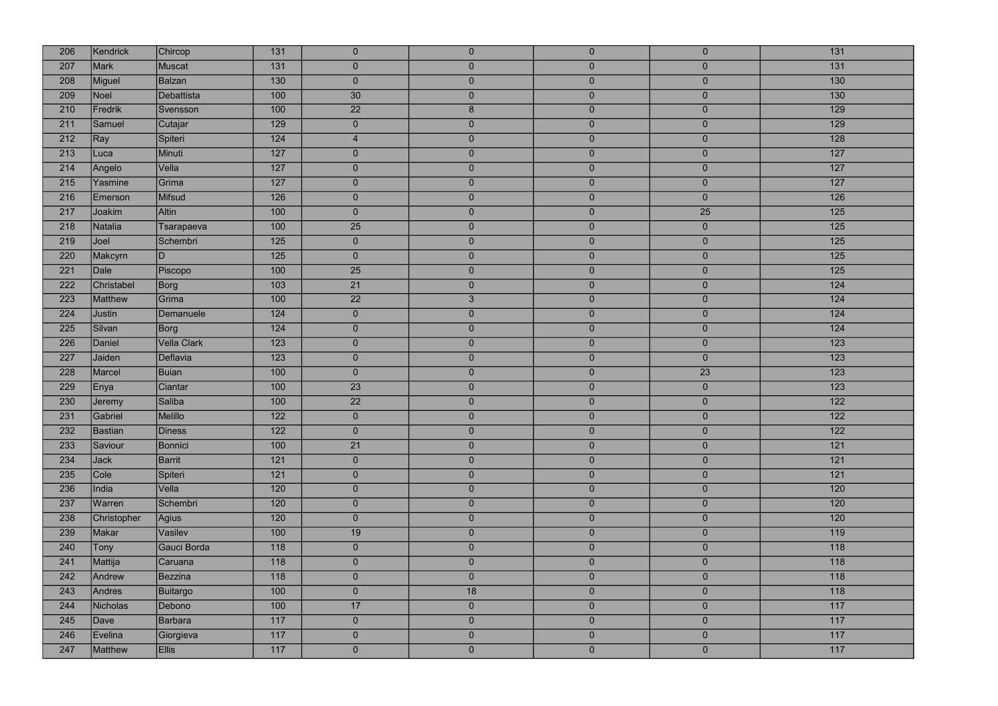| 206 | Kendrick       | Chircop            | $131$            | $\overline{0}$  | $\overline{0}$ | $\overline{0}$ | $\mathbf{0}$   | 131              |
|-----|----------------|--------------------|------------------|-----------------|----------------|----------------|----------------|------------------|
| 207 | <b>Mark</b>    | Muscat             | 131              | $\overline{0}$  | $\overline{0}$ | $\overline{0}$ | $\overline{0}$ | 131              |
| 208 | Miguel         | <b>Balzan</b>      | 130              | $\overline{0}$  | $\mathbf{0}$   | $\overline{0}$ | $\mathbf{0}$   | 130              |
| 209 | <b>Noel</b>    | Debattista         | 100              | 30              | $\overline{0}$ | $\overline{0}$ | $\mathbf{0}$   | 130              |
| 210 | Fredrik        | Svensson           | 100              | 22              | $8\phantom{1}$ | $\overline{0}$ | $\mathbf{0}$   | 129              |
| 211 | Samuel         | Cutajar            | 129              | $\mathbf{0}$    | $\overline{0}$ | $\overline{0}$ | $\mathbf{0}$   | 129              |
| 212 | Ray            | Spiteri            | 124              | $\overline{4}$  | $\overline{0}$ | $\overline{0}$ | $\mathbf{0}$   | 128              |
| 213 | Luca           | Minuti             | 127              | $\overline{0}$  | $\pmb{0}$      | $\overline{0}$ | $\mathbf{0}$   | $\overline{127}$ |
| 214 | Angelo         | Vella              | $127$            | $\overline{0}$  | $\overline{0}$ | $\overline{0}$ | $\mathbf{0}$   | $\overline{127}$ |
| 215 | Yasmine        | Grima              | 127              | $\pmb{0}$       | $\pmb{0}$      | $\mathbf{0}$   | $\mathbf{0}$   | $\overline{127}$ |
| 216 | Emerson        | Mifsud             | 126              | $\overline{0}$  | $\overline{0}$ | $\overline{0}$ | $\overline{0}$ | 126              |
| 217 | Joakim         | Altin              | 100              | $\mathbf{0}$    | $\overline{0}$ | $\overline{0}$ | 25             | $\overline{125}$ |
| 218 | Natalia        | Tsarapaeva         | 100              | 25              | $\overline{0}$ | $\overline{0}$ | $\overline{0}$ | 125              |
| 219 | Joel           | Schembri           | 125              | $\overline{0}$  | $\overline{0}$ | $\overline{0}$ | $\mathbf{0}$   | 125              |
| 220 | Makcyrn        | D                  | 125              | $\overline{0}$  | $\overline{0}$ | $\overline{0}$ | $\mathbf{0}$   | $\overline{125}$ |
| 221 | Dale           | Piscopo            | 100              | 25              | $\pmb{0}$      | $\overline{0}$ | $\mathbf{0}$   | $\overline{125}$ |
| 222 | Christabel     | Borg               | 103              | 21              | $\overline{0}$ | $\overline{0}$ | $\mathbf{0}$   | $\overline{124}$ |
| 223 | <b>Matthew</b> | Grima              | 100              | $\overline{22}$ | 3 <sup>2</sup> | $\overline{0}$ | $\overline{0}$ | $\overline{124}$ |
| 224 | <b>Justin</b>  | Demanuele          | 124              | $\overline{0}$  | $\bf 0$        | $\overline{0}$ | $\mathbf{0}$   | 124              |
| 225 | Silvan         | Borg               | $124$            | $\overline{0}$  | $\overline{0}$ | $\overline{0}$ | $\mathbf{0}$   | $\overline{124}$ |
| 226 | Daniel         | <b>Vella Clark</b> | $\overline{123}$ | $\mathbf{0}$    | $\pmb{0}$      | $\mathbf{0}$   | $\mathbf{0}$   | $\overline{123}$ |
| 227 | Jaiden         | Deflavia           | 123              | $\overline{0}$  | $\overline{0}$ | $\overline{0}$ | $\overline{0}$ | $\overline{123}$ |
| 228 | Marcel         | <b>Buian</b>       | 100              | $\mathbf{0}$    | $\mathbf{0}$   | $\overline{0}$ | 23             | 123              |
| 229 | Enya           | Ciantar            | 100              | 23              | $\pmb{0}$      | $\overline{0}$ | $\mathbf{0}$   | 123              |
| 230 | Jeremy         | Saliba             | 100              | 22              | $\pmb{0}$      | $\mathbf{0}$   | $\mathbf{0}$   | $122$            |
| 231 | Gabriel        | Melillo            | 122              | $\overline{0}$  | $\overline{0}$ | $\overline{0}$ | $\overline{0}$ | 122              |
| 232 | Bastian        | Diness             | 122              | $\overline{0}$  | $\overline{0}$ | $\overline{0}$ | $\mathbf{0}$   | 122              |
| 233 | Saviour        | Bonnici            | 100              | $\overline{21}$ | $\overline{0}$ | $\overline{0}$ | $\overline{0}$ | $121$            |
| 234 | <b>Jack</b>    | Barrit             | 121              | $\overline{0}$  | $\pmb{0}$      | $\overline{0}$ | $\mathbf{0}$   | 121              |
| 235 | Cole           | Spiteri            | $\overline{121}$ | $\overline{0}$  | $\overline{0}$ | $\overline{0}$ | $\mathbf{0}$   | $121$            |
| 236 | India          | Vella              | 120              | $\overline{0}$  | $\pmb{0}$      | $\overline{0}$ | $\mathbf{0}$   | 120              |
| 237 | Warren         | Schembri           | 120              | $\overline{0}$  | $\overline{0}$ | $\overline{0}$ | $\overline{0}$ | 120              |
| 238 | Christopher    | <b>Agius</b>       | 120              | $\mathbf{0}$    | $\overline{0}$ | $\overline{0}$ | $\mathbf{0}$   | 120              |
| 239 | Makar          | Vasilev            | 100              | 19              | $\overline{0}$ | $\overline{0}$ | $\mathbf 0$    | 119              |
| 240 | Tony           | Gauci Borda        | 118              | $\overline{0}$  | $\pmb{0}$      | $\overline{0}$ | $\mathbf{0}$   | 118              |
| 241 | Mattija        | Caruana            | 118              | $\mathbf{0}$    | $\overline{0}$ | $\overline{0}$ | $\mathbf{0}$   | 118              |
| 242 | Andrew         | Bezzina            | 118              | $\overline{0}$  | $\overline{0}$ | $\overline{0}$ | $\mathbf{0}$   | 118              |
| 243 | Andres         | <b>Buitargo</b>    | 100              | $\overline{0}$  | 18             | $\overline{0}$ | $\overline{0}$ | 118              |
| 244 | Nicholas       | Debono             | 100              | 17              | $\overline{0}$ | $\overline{0}$ | $\mathbf{0}$   | 117              |
| 245 | Dave           | <b>Barbara</b>     | $117$            | $\overline{0}$  | $\pmb{0}$      | $\overline{0}$ | $\mathbf{0}$   | $117$            |
| 246 | Evelina        | Giorgieva          | 117              | $\mathbf{0}$    | $\overline{0}$ | $\overline{0}$ | $\overline{0}$ | 117              |
| 247 | <b>Matthew</b> | <b>Ellis</b>       | 117              | $\overline{0}$  | $\mathbf 0$    | $\mathbf 0$    | $\mathbf{0}$   | $117$            |

| 131              |
|------------------|
| 131              |
| 130              |
| 130              |
| 129              |
| 129              |
| 128              |
| 127              |
| $\overline{127}$ |
| $\overline{127}$ |
| 126              |
| 125              |
| 125              |
| 125              |
| $\overline{125}$ |
| 125              |
| 124              |
| $\overline{124}$ |
| $\overline{124}$ |
| 124              |
| 123              |
| $\overline{123}$ |
| 123              |
| 123              |
| $\overline{122}$ |
| 122              |
| 122              |
| $\overline{121}$ |
| 121              |
| $\overline{121}$ |
| 120              |
| 120              |
| 120              |
| 119              |
| 118              |
| 118              |
| 118              |
| 118              |
| $\overline{117}$ |
| 117              |
| 117              |
| $\overline{117}$ |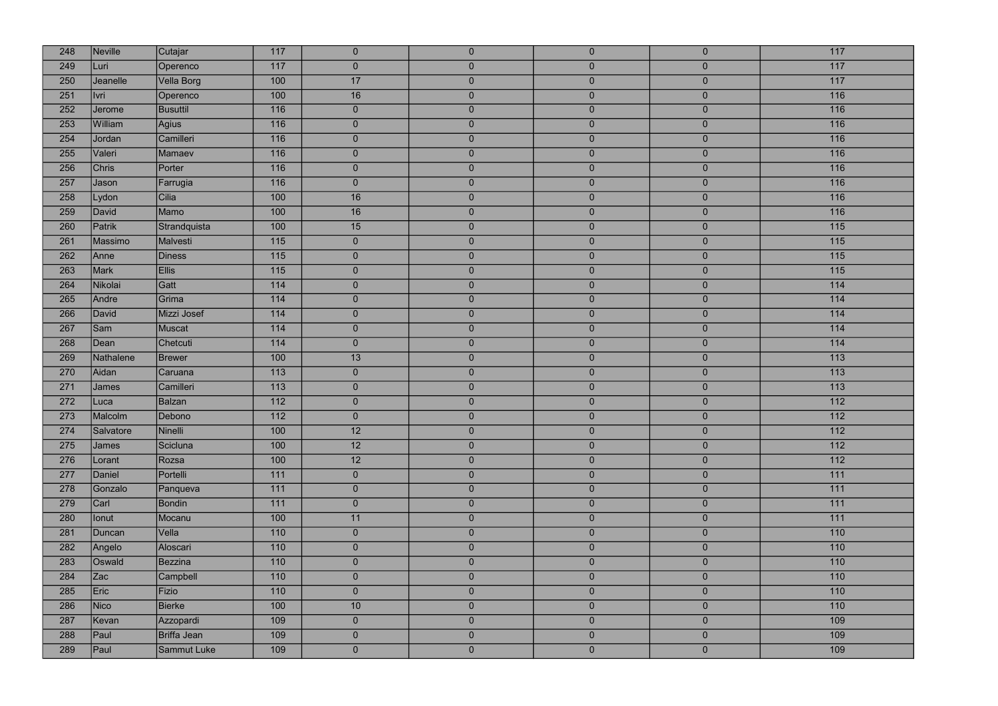| 248 | Neville      | Cutajar         | 117              | $\overline{0}$ | $\overline{0}$ | $\overline{0}$ | $\overline{0}$ | 117              |
|-----|--------------|-----------------|------------------|----------------|----------------|----------------|----------------|------------------|
| 249 | Luri         | Operenco        | 117              | $\overline{0}$ | $\overline{0}$ | $\overline{0}$ | $\overline{0}$ | 117              |
| 250 | Jeanelle     | Vella Borg      | 100              | 17             | $\overline{0}$ | $\overline{0}$ | $\overline{0}$ | 117              |
| 251 | Ivri         | Operenco        | 100              | 16             | $\overline{0}$ | $\overline{0}$ | $\overline{0}$ | 116              |
| 252 | Jerome       | <b>Busuttil</b> | 116              | $\overline{0}$ | $\overline{0}$ | $\overline{0}$ | $\overline{0}$ | 116              |
| 253 | William      | Agius           | 116              | $\overline{0}$ | $\overline{0}$ | $\overline{0}$ | $\overline{0}$ | 116              |
| 254 | Jordan       | Camilleri       | 116              | $\overline{0}$ | $\overline{0}$ | $\overline{0}$ | $\mathbf{0}$   | 116              |
| 255 | Valeri       | Mamaev          | $\overline{116}$ | $\overline{0}$ | $\overline{0}$ | $\overline{0}$ | $\mathbf 0$    | 116              |
| 256 | <b>Chris</b> | Porter          | 116              | $\overline{0}$ | $\overline{0}$ | $\overline{0}$ | $\overline{0}$ | 116              |
| 257 | Jason        | Farrugia        | 116              | $\overline{0}$ | $\overline{0}$ | $\overline{0}$ | $\mathbf 0$    | 116              |
| 258 | Lydon        | Cilia           | 100              | 16             | $\overline{0}$ | $\overline{0}$ | $\overline{0}$ | 116              |
| 259 | David        | Mamo            | 100              | 16             | $\pmb{0}$      | $\overline{0}$ | $\mathbf{0}$   | 116              |
| 260 | Patrik       | Strandquista    | 100              | 15             | $\overline{0}$ | $\overline{0}$ | $\overline{0}$ | 115              |
| 261 | Massimo      | Malvesti        | 115              | $\overline{0}$ | $\overline{0}$ | $\overline{0}$ | $\mathbf{0}$   | 115              |
| 262 | Anne         | <b>Diness</b>   | $\overline{115}$ | $\overline{0}$ | $\overline{0}$ | $\overline{0}$ | $\overline{0}$ | 115              |
| 263 | Mark         | <b>Ellis</b>    | $\overline{115}$ | $\overline{0}$ | $\overline{0}$ | $\overline{0}$ | $\overline{0}$ | 115              |
| 264 | Nikolai      | Gatt            | 114              | $\overline{0}$ | $\overline{0}$ | $\overline{0}$ | $\overline{0}$ | 114              |
| 265 | Andre        | Grima           | $114$            | $\overline{0}$ | $\overline{0}$ | $\overline{0}$ | $\overline{0}$ | 114              |
| 266 | David        | Mizzi Josef     | 114              | $\overline{0}$ | $\overline{0}$ | $\overline{0}$ | $\bf 0$        | 114              |
| 267 | Sam          | Muscat          | 114              | $\overline{0}$ | $\overline{0}$ | $\overline{0}$ | $\overline{0}$ | 114              |
| 268 | Dean         | Chetcuti        | 114              | $\overline{0}$ | $\pmb{0}$      | $\overline{0}$ | $\overline{0}$ | 114              |
| 269 | Nathalene    | <b>Brewer</b>   | 100              | 13             | $\overline{0}$ | $\overline{0}$ | $\overline{0}$ | 113              |
| 270 | Aidan        | Caruana         | 113              | $\overline{0}$ | $\overline{0}$ | $\overline{0}$ | $\mathbf{0}$   | $\overline{113}$ |
| 271 | James        | Camilleri       | 113              | $\overline{0}$ | $\overline{0}$ | $\overline{0}$ | $\overline{0}$ | 113              |
| 272 | Luca         | <b>Balzan</b>   | $\overline{112}$ | $\overline{0}$ | $\overline{0}$ | $\overline{0}$ | $\mathbf{0}$   | $\overline{112}$ |
| 273 | Malcolm      | Debono          | 112              | $\overline{0}$ | $\overline{0}$ | $\overline{0}$ | $\overline{0}$ | 112              |
| 274 | Salvatore    | Ninelli         | 100              | 12             | $\overline{0}$ | $\overline{0}$ | $\overline{0}$ | 112              |
| 275 | <b>James</b> | Scicluna        | 100              | 12             | $\pmb{0}$      | $\overline{0}$ | $\overline{0}$ | $\overline{112}$ |
| 276 | Lorant       | Rozsa           | 100              | 12             | $\overline{0}$ | $\overline{0}$ | $\bf 0$        | $\overline{112}$ |
| 277 | Daniel       | Portelli        | $111$            | $\overline{0}$ | $\overline{0}$ | $\overline{0}$ | $\bf 0$        | 111              |
| 278 | Gonzalo      | Panqueva        | 111              | $\overline{0}$ | $\pmb{0}$      | $\overline{0}$ | $\mathbf{0}$   | 111              |
| 279 | Carl         | <b>Bondin</b>   | 111              | $\overline{0}$ | $\overline{0}$ | $\overline{0}$ | $\overline{0}$ | 111              |
| 280 | lonut        | Mocanu          | 100              | 11             | $\overline{0}$ | $\overline{0}$ | $\mathbf{0}$   | 111              |
| 281 | Duncan       | Vella           | 110              | $\overline{0}$ | $\overline{0}$ | $\overline{0}$ | $\overline{0}$ | 110              |
| 282 | Angelo       | Aloscari        | 110              | $\overline{0}$ | $\overline{0}$ | $\overline{0}$ | $\overline{0}$ | 110              |
| 283 | Oswald       | Bezzina         | 110              | $\overline{0}$ | $\overline{0}$ | $\overline{0}$ | $\overline{0}$ | 110              |
| 284 | Zac          | Campbell        | 110              | $\overline{0}$ | $\overline{0}$ | $\overline{0}$ | $\overline{0}$ | 110              |
| 285 | Eric         | Fizio           | 110              | $\overline{0}$ | $\overline{0}$ | $\overline{0}$ | $\bf 0$        | 110              |
| 286 | Nico         | <b>Bierke</b>   | 100              | 10             | $\overline{0}$ | $\overline{0}$ | $\pmb{0}$      | 110              |
| 287 | Kevan        | Azzopardi       | 109              | $\overline{0}$ | $\pmb{0}$      | $\overline{0}$ | $\mathbf{0}$   | 109              |
| 288 | Paul         | Briffa Jean     | 109              | $\overline{0}$ | $\overline{0}$ | $\overline{0}$ | $\overline{0}$ | 109              |
| 289 | Paul         | Sammut Luke     | 109              | $\overline{0}$ | $\overline{0}$ | $\overline{0}$ | $\overline{0}$ | 109              |
|     |              |                 |                  |                |                |                |                |                  |

| 117               |
|-------------------|
| $\overline{117}$  |
| $117$             |
| 116               |
| 116               |
| 116               |
| 116               |
| 116               |
| 116               |
| 116               |
| 116               |
| 116               |
| $\overline{115}$  |
| $\overline{115}$  |
| 115               |
| $\overline{115}$  |
| 114               |
| 114               |
| 114               |
| 114               |
| 114               |
| $\overline{113}$  |
| 113               |
| 113               |
| 112               |
| 112               |
| 112               |
| $\overline{112}$  |
| 112               |
| 111               |
| 111               |
| $111$             |
| $111$             |
| 110               |
| 110               |
| 110               |
| $\frac{110}{110}$ |
| 110               |
| $\frac{110}{110}$ |
| 109               |
| 109               |
| 109               |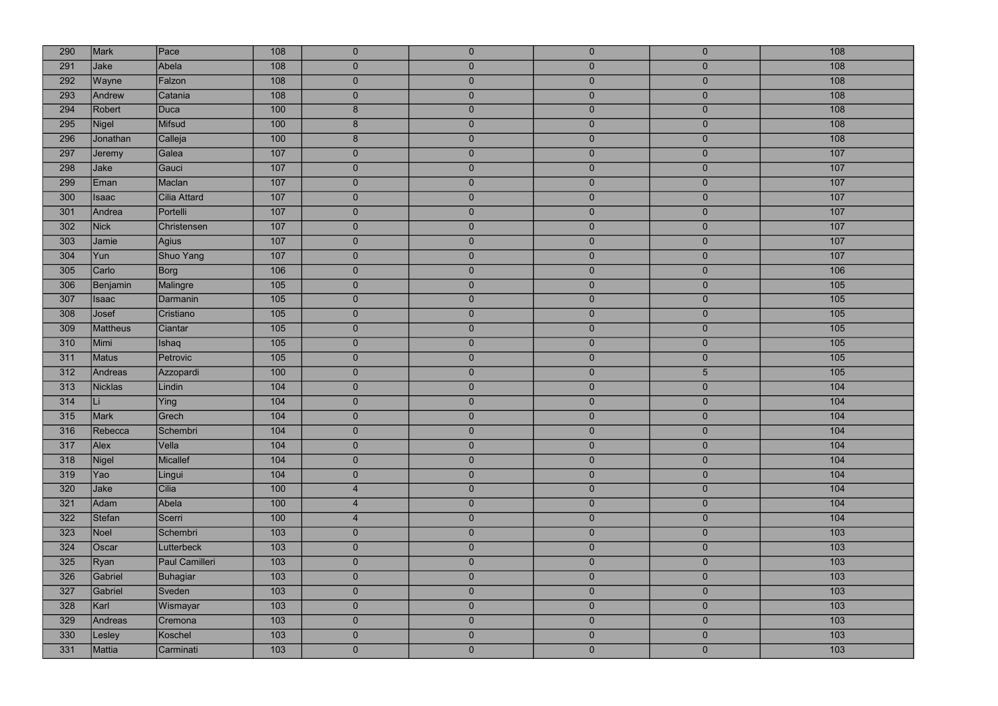| 290 | Mark            | Pace           | 108 | $\overline{0}$ | $\overline{0}$ | $\overline{0}$ | $\mathbf{0}$     | 108              |
|-----|-----------------|----------------|-----|----------------|----------------|----------------|------------------|------------------|
| 291 | Jake            | Abela          | 108 | $\mathbf{0}$   | $\mathbf 0$    | $\overline{0}$ | $\overline{0}$   | 108              |
| 292 | Wayne           | Falzon         | 108 | $\mathbf{0}$   | $\overline{0}$ | $\overline{0}$ | $\mathbf{0}$     | 108              |
| 293 | Andrew          | Catania        | 108 | $\overline{0}$ | $\overline{0}$ | $\overline{0}$ | $\mathbf{0}$     | 108              |
| 294 | Robert          | <b>Duca</b>    | 100 | $\bf 8$        | $\overline{0}$ | $\overline{0}$ | $\mathbf{0}$     | 108              |
| 295 | Nigel           | Mifsud         | 100 | $8\phantom{1}$ | $\overline{0}$ | $\overline{0}$ | $\mathbf{0}$     | 108              |
| 296 | Jonathan        | Calleja        | 100 | 8              | $\overline{0}$ | $\overline{0}$ | $\mathbf{0}$     | 108              |
| 297 | Jeremy          | Galea          | 107 | $\mathbf{0}$   | $\mathbf 0$    | $\overline{0}$ | $\boldsymbol{0}$ | 107              |
| 298 | Jake            | Gauci          | 107 | $\overline{0}$ | $\overline{0}$ | $\overline{0}$ | $\mathbf{0}$     | 107              |
| 299 | Eman            | Maclan         | 107 | $\mathbf{0}$   | $\overline{0}$ | $\overline{0}$ | $\boldsymbol{0}$ | 107              |
| 300 | <b>Isaac</b>    | Cilia Attard   | 107 | $\overline{0}$ | $\overline{0}$ | $\overline{0}$ | $\overline{0}$   | $\overline{107}$ |
| 301 | Andrea          | Portelli       | 107 | $\overline{0}$ | $\mathbf{0}$   | $\overline{0}$ | $\mathbf{0}$     | 107              |
| 302 | <b>Nick</b>     | Christensen    | 107 | $\overline{0}$ | $\overline{0}$ | $\overline{0}$ | $\overline{0}$   | 107              |
| 303 | Jamie           | Agius          | 107 | $\mathbf{0}$   | $\mathbf 0$    | $\overline{0}$ | $\mathbf{0}$     | 107              |
| 304 | Yun             | Shuo Yang      | 107 | $\overline{0}$ | $\overline{0}$ | $\overline{0}$ | $\mathbf{0}$     | 107              |
| 305 | Carlo           | Borg           | 106 | $\pmb{0}$      | $\overline{0}$ | $\overline{0}$ | $\mathbf{0}$     | 106              |
| 306 | Benjamin        | Malingre       | 105 | $\overline{0}$ | $\overline{0}$ | $\overline{0}$ | $\overline{0}$   | 105              |
| 307 | <b>Isaac</b>    | Darmanin       | 105 | $\overline{0}$ | $\overline{0}$ | $\overline{0}$ | $\mathbf{0}$     | 105              |
| 308 | Josef           | Cristiano      | 105 | $\overline{0}$ | $\mathbf 0$    | $\overline{0}$ | $\pmb{0}$        | 105              |
| 309 | <b>Mattheus</b> | Ciantar        | 105 | $\overline{0}$ | $\overline{0}$ | $\overline{0}$ | $\overline{0}$   | $\overline{105}$ |
| 310 | Mimi            | Ishaq          | 105 | $\mathbf 0$    | $\overline{0}$ | $\overline{0}$ | $\mathbf{0}$     | 105              |
| 311 | <b>Matus</b>    | Petrovic       | 105 | $\overline{0}$ | $\mathbf 0$    | $\overline{0}$ | $\mathbf{0}$     | 105              |
| 312 | Andreas         | Azzopardi      | 100 | $\mathbf{0}$   | $\mathbf{0}$   | $\overline{0}$ | $\overline{5}$   | 105              |
| 313 | <b>Nicklas</b>  | Lindin         | 104 | $\mathbf{0}$   | $\overline{0}$ | $\overline{0}$ | $\mathbf{0}$     | 104              |
| 314 | Li              | Ying           | 104 | $\overline{0}$ | $\overline{0}$ | $\mathbf{0}$   | $\boldsymbol{0}$ | 104              |
| 315 | Mark            | Grech          | 104 | $\overline{0}$ | $\overline{0}$ | $\overline{0}$ | $\overline{0}$   | 104              |
| 316 | Rebecca         | Schembri       | 104 | $\overline{0}$ | $\overline{0}$ | $\overline{0}$ | $\overline{0}$   | 104              |
| 317 | Alex            | Vella          | 104 | $\mathbf 0$    | $\overline{0}$ | $\overline{0}$ | $\pmb{0}$        | 104              |
| 318 | Nigel           | Micallef       | 104 | $\bf 0$        | $\overline{0}$ | $\overline{0}$ | $\bf 0$          | 104              |
| 319 | Yao             | Lingui         | 104 | $\overline{0}$ | $\overline{0}$ | $\overline{0}$ | $\overline{0}$   | 104              |
| 320 | Jake            | Cilia          | 100 | $\overline{4}$ | $\overline{0}$ | $\overline{0}$ | $\mathbf{0}$     | 104              |
| 321 | Adam            | Abela          | 100 | $\overline{4}$ | $\overline{0}$ | $\overline{0}$ | $\overline{0}$   | 104              |
| 322 | Stefan          | Scerri         | 100 | $\overline{4}$ | $\overline{0}$ | $\overline{0}$ | $\mathbf{0}$     | 104              |
| 323 | Noel            | Schembri       | 103 | $\overline{0}$ | $\overline{0}$ | $\overline{0}$ | $\mathbf{0}$     | 103              |
| 324 | Oscar           | Lutterbeck     | 103 | $\mathbf{0}$   | $\overline{0}$ | $\overline{0}$ | $\mathbf{0}$     | 103              |
| 325 | Ryan            | Paul Camilleri | 103 | $\overline{0}$ | $\overline{0}$ | $\overline{0}$ | $\mathbf{0}$     | 103              |
| 326 | Gabriel         | Buhagiar       | 103 | $\overline{0}$ | $\overline{0}$ | $\overline{0}$ | $\mathbf{0}$     | 103              |
| 327 | Gabriel         | Sveden         | 103 | $\mathbf 0$    | $\overline{0}$ | $\overline{0}$ | $\mathbf{0}$     | 103              |
| 328 | Karl            | Wismayar       | 103 | $\mathbf{0}$   | $\overline{0}$ | $\overline{0}$ | $\mathbf 0$      | 103              |
| 329 | Andreas         | Cremona        | 103 | $\mathbf 0$    | $\overline{0}$ | $\overline{0}$ | $\mathbf{0}$     | 103              |
| 330 | Lesley          | Koschel        | 103 | $\overline{0}$ | $\overline{0}$ | $\overline{0}$ | $\overline{0}$   | 103              |
| 331 | Mattia          | Carminati      | 103 | $\pmb{0}$      | $\mathbf 0$    | $\mathbf{0}$   | $\mathbf{0}$     | 103              |
|     |                 |                |     |                |                |                |                  |                  |

| 108              |
|------------------|
| 108              |
| 108              |
| 108              |
| 108              |
| 108              |
| 108              |
| 107              |
| 107              |
| 107              |
| 107              |
| 107              |
| 107              |
| 107              |
| 107              |
| 106              |
| 105              |
| 105              |
| 105              |
| 105              |
| 105              |
| 105              |
| 105              |
| 104              |
| 104              |
| 104              |
| 104              |
| 104              |
| 104              |
| 104              |
| 104              |
| 104              |
| 104              |
| 103              |
| $\overline{103}$ |
| 103              |
| 103              |
| 103              |
| 103              |
| 103              |
| 103              |
| 103              |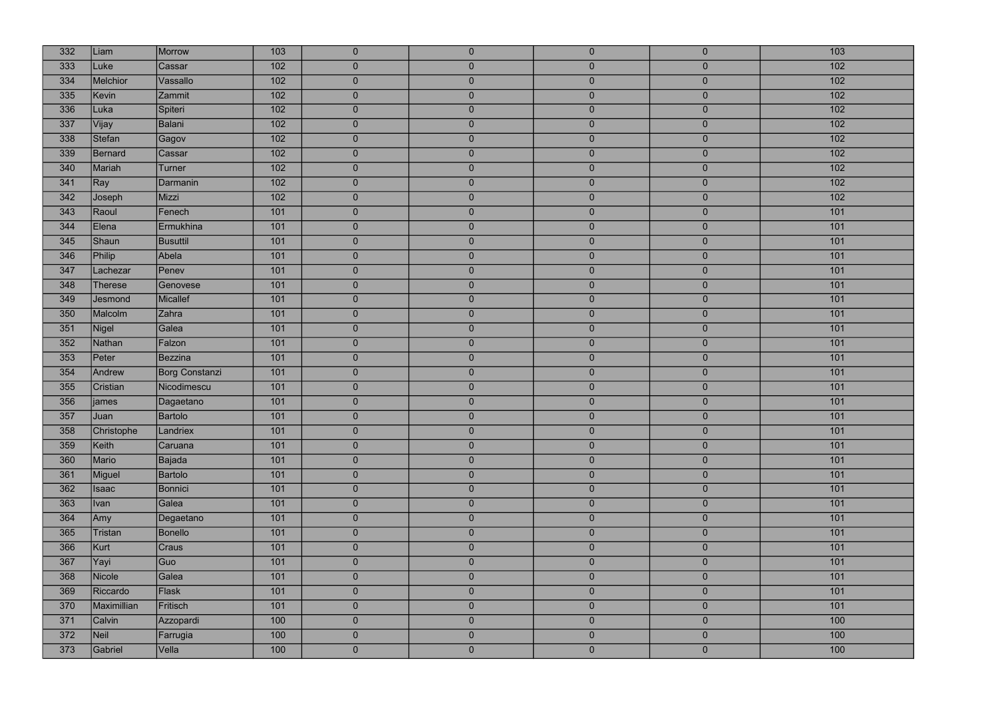| 332 | Liam           | Morrow          | 103              | $\mathbf{0}$   | $\overline{0}$ | $\overline{0}$ | $\mathbf{0}$     | 103              |
|-----|----------------|-----------------|------------------|----------------|----------------|----------------|------------------|------------------|
| 333 | Luke           | Cassar          | 102              | $\overline{0}$ | $\mathbf 0$    | $\overline{0}$ | $\mathbf{0}$     | 102              |
| 334 | Melchior       | Vassallo        | 102              | $\overline{0}$ | $\pmb{0}$      | $\overline{0}$ | $\mathbf{0}$     | 102              |
| 335 | Kevin          | Zammit          | 102              | $\overline{0}$ | $\overline{0}$ | $\overline{0}$ | $\mathbf{0}$     | $102$            |
| 336 | Luka           | Spiteri         | 102              | $\overline{0}$ | $\overline{0}$ | $\overline{0}$ | $\mathbf{0}$     | 102              |
| 337 | Vijay          | Balani          | $\overline{102}$ | $\overline{0}$ | $\overline{0}$ | $\overline{0}$ | $\mathbf{0}$     | $\overline{102}$ |
| 338 | Stefan         | Gagov           | 102              | $\overline{0}$ | $\overline{0}$ | $\overline{0}$ | $\mathbf{0}$     | 102              |
| 339 | <b>Bernard</b> | Cassar          | 102              | $\overline{0}$ | $\mathbf 0$    | $\overline{0}$ | $\pmb{0}$        | $\overline{102}$ |
| 340 | Mariah         | Turner          | $\overline{102}$ | $\pmb{0}$      | $\overline{0}$ | $\overline{0}$ | $\mathbf{0}$     | $102$            |
| 341 | Ray            | Darmanin        | 102              | $\overline{0}$ | $\mathbf 0$    | $\overline{0}$ | $\bf 0$          | $\overline{102}$ |
| 342 | Joseph         | Mizzi           | 102              | $\overline{0}$ | $\mathbf 0$    | $\overline{0}$ | $\overline{0}$   | $\overline{102}$ |
| 343 | Raoul          | Fenech          | 101              | $\overline{0}$ | $\overline{0}$ | $\overline{0}$ | $\mathbf 0$      | 101              |
| 344 | Elena          | Ermukhina       | 101              | $\overline{0}$ | $\overline{0}$ | $\overline{0}$ | $\overline{0}$   | 101              |
| 345 | Shaun          | <b>Busuttil</b> | 101              | $\mathbf{0}$   | $\mathbf 0$    | $\overline{0}$ | $\mathbf{0}$     | 101              |
| 346 | Philip         | Abela           | 101              | $\mathbf{0}$   | $\overline{0}$ | $\overline{0}$ | $\mathbf{0}$     | 101              |
| 347 | Lachezar       | Penev           | 101              | $\overline{0}$ | $\overline{0}$ | $\overline{0}$ | $\mathbf{0}$     | 101              |
| 348 | <b>Therese</b> | Genovese        | 101              | $\overline{0}$ | $\overline{0}$ | $\overline{0}$ | $\overline{0}$   | 101              |
| 349 | Jesmond        | Micallef        | $101$            | $\overline{0}$ | $\overline{0}$ | $\overline{0}$ | $\mathbf{0}$     | 101              |
| 350 | Malcolm        | Zahra           | 101              | $\mathbf 0$    | $\mathbf 0$    | $\overline{0}$ | $\boldsymbol{0}$ | 101              |
| 351 | Nigel          | Galea           | 101              | $\overline{0}$ | $\overline{0}$ | $\overline{0}$ | $\overline{0}$   | $101$            |
| 352 | Nathan         | Falzon          | 101              | $\mathbf 0$    | $\mathbf 0$    | $\overline{0}$ | $\mathbf{0}$     | 101              |
| 353 | Peter          | <b>Bezzina</b>  | 101              | $\overline{0}$ | $\overline{0}$ | $\overline{0}$ | $\mathbf{0}$     | 101              |
| 354 | Andrew         | Borg Constanzi  | 101              | $\overline{0}$ | $\mathbf{0}$   | $\overline{0}$ | $\overline{0}$   | 101              |
| 355 | Cristian       | Nicodimescu     | 101              | $\overline{0}$ | $\overline{0}$ | $\overline{0}$ | $\mathbf{0}$     | 101              |
| 356 | james          | Dagaetano       | 101              | $\overline{0}$ | $\overline{0}$ | $\overline{0}$ | $\boldsymbol{0}$ | 101              |
| 357 | Juan           | Bartolo         | 101              | $\overline{0}$ | $\overline{0}$ | $\overline{0}$ | $\overline{0}$   | 101              |
| 358 | Christophe     | Landriex        | 101              | $\overline{0}$ | $\overline{0}$ | $\overline{0}$ | $\overline{0}$   | 101              |
| 359 | Keith          | Caruana         | $\overline{101}$ | $\mathbf 0$    | $\overline{0}$ | $\overline{0}$ | $\pmb{0}$        | 101              |
| 360 | Mario          | Bajada          | 101              | $\bf 0$        | $\overline{0}$ | $\overline{0}$ | $\bf 0$          | 101              |
| 361 | Miguel         | Bartolo         | 101              | $\overline{0}$ | $\overline{0}$ | $\overline{0}$ | $\overline{0}$   | 101              |
| 362 | <b>Isaac</b>   | Bonnici         | 101              | $\mathbf 0$    | $\overline{0}$ | $\overline{0}$ | $\mathbf{0}$     | 101              |
| 363 | <b>Ivan</b>    | Galea           | 101              | $\overline{0}$ | $\overline{0}$ | $\overline{0}$ | $\overline{0}$   | 101              |
| 364 | Amy            | Degaetano       | 101              | $\overline{0}$ | $\pmb{0}$      | $\overline{0}$ | $\mathbf{0}$     | 101              |
| 365 | Tristan        | Bonello         | 101              | $\mathbf 0$    | $\overline{0}$ | $\overline{0}$ | $\mathbf{0}$     | 101              |
| 366 | Kurt           | Craus           | 101              | $\mathbf{0}$   | $\overline{0}$ | $\overline{0}$ | $\mathbf{0}$     | 101              |
| 367 | Yayi           | Guo             | 101              | $\overline{0}$ | $\overline{0}$ | $\overline{0}$ | $\mathbf{0}$     | 101              |
| 368 | Nicole         | Galea           | 101              | $\overline{0}$ | $\overline{0}$ | $\overline{0}$ | $\mathbf{0}$     | 101              |
| 369 | Riccardo       | Flask           | 101              | $\bf 0$        | $\overline{0}$ | $\overline{0}$ | $\mathbf{0}$     | 101              |
| 370 | Maximillian    | Fritisch        | 101              | $\mathbf{0}$   | $\overline{0}$ | $\overline{0}$ | $\mathbf{0}$     | 101              |
| 371 | Calvin         | Azzopardi       | 100              | $\mathbf 0$    | $\overline{0}$ | $\overline{0}$ | $\mathbf{0}$     | 100              |
| 372 | Neil           | Farrugia        | 100              | $\mathbf 0$    | $\overline{0}$ | $\overline{0}$ | $\overline{0}$   | 100              |
| 373 | Gabriel        | Vella           | 100              | $\pmb{0}$      | $\mathbf 0$    | $\overline{0}$ | $\mathbf{0}$     | 100              |
|     |                |                 |                  |                |                |                |                  |                  |

| 103              |
|------------------|
| 102              |
| 102              |
| 102              |
| 102              |
| 102              |
| 102              |
| 102              |
| 102              |
| 102              |
| $\overline{102}$ |
| 101              |
| 101              |
| 101              |
| 101              |
| 101              |
| 101              |
| 101              |
| 101              |
| 101              |
| 101              |
| 101              |
| 101              |
| $\overline{101}$ |
| 101              |
| 101              |
| 101              |
| 101              |
| 101              |
| $\overline{101}$ |
| $\overline{101}$ |
| 101              |
| 101              |
| 101              |
| 101              |
| 101              |
| 101              |
| 101              |
| 101              |
| 100              |
| 100              |
| 100              |
|                  |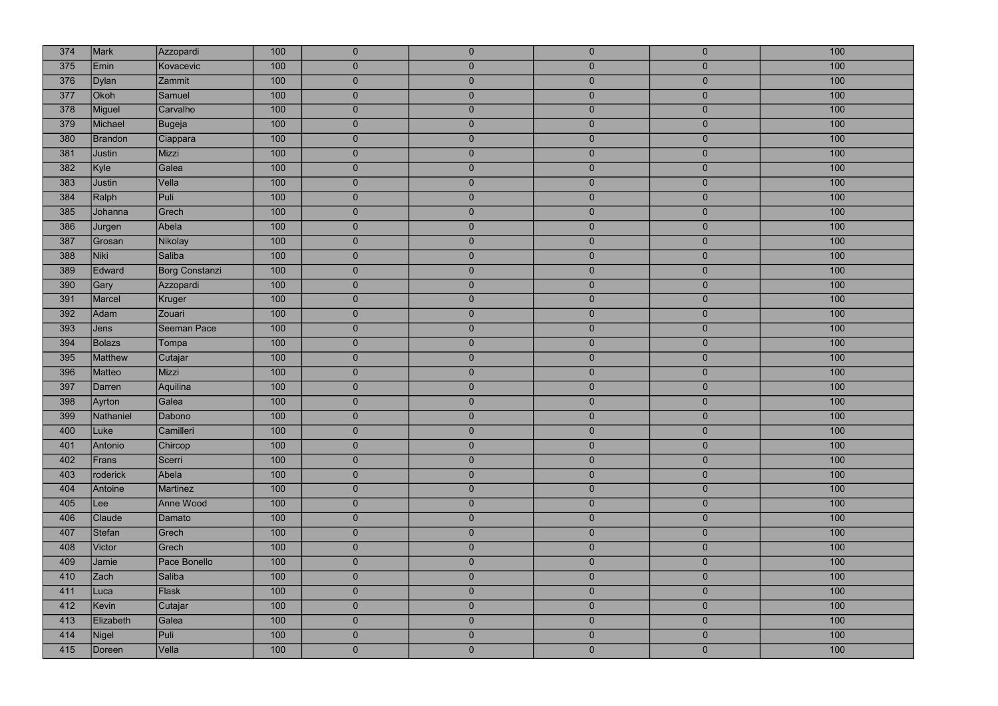| 374 | Mark           | Azzopardi             | 100 | $\overline{0}$ | $\overline{0}$ | $\overline{0}$ | $\overline{0}$ | 100 |
|-----|----------------|-----------------------|-----|----------------|----------------|----------------|----------------|-----|
| 375 | Emin           | Kovacevic             | 100 | $\overline{0}$ | $\overline{0}$ | $\overline{0}$ | $\overline{0}$ | 100 |
| 376 | Dylan          | Zammit                | 100 | $\overline{0}$ | $\overline{0}$ | $\overline{0}$ | $\overline{0}$ | 100 |
| 377 | Okoh           | Samuel                | 100 | $\overline{0}$ | $\overline{0}$ | $\overline{0}$ | $\overline{0}$ | 100 |
| 378 | Miguel         | Carvalho              | 100 | $\overline{0}$ | $\overline{0}$ | $\overline{0}$ | $\overline{0}$ | 100 |
| 379 | Michael        | Bugeja                | 100 | $\overline{0}$ | $\overline{0}$ | $\overline{0}$ | $\overline{0}$ | 100 |
| 380 | <b>Brandon</b> | Ciappara              | 100 | $\overline{0}$ | $\overline{0}$ | $\overline{0}$ | $\overline{0}$ | 100 |
| 381 | Justin         | Mizzi                 | 100 | $\overline{0}$ | $\overline{0}$ | $\overline{0}$ | $\bf 0$        | 100 |
| 382 | Kyle           | Galea                 | 100 | $\overline{0}$ | $\overline{0}$ | $\overline{0}$ | $\overline{0}$ | 100 |
| 383 | Justin         | Vella                 | 100 | $\overline{0}$ | $\pmb{0}$      | $\pmb{0}$      | $\bf 0$        | 100 |
| 384 | Ralph          | Puli                  | 100 | $\overline{0}$ | $\overline{0}$ | $\overline{0}$ | $\overline{0}$ | 100 |
| 385 | Johanna        | Grech                 | 100 | $\overline{0}$ | $\pmb{0}$      | $\overline{0}$ | $\mathbf{0}$   | 100 |
| 386 | Jurgen         | Abela                 | 100 | $\overline{0}$ | $\overline{0}$ | $\overline{0}$ | $\overline{0}$ | 100 |
| 387 | Grosan         | Nikolay               | 100 | $\overline{0}$ | $\overline{0}$ | $\overline{0}$ | $\mathbf{0}$   | 100 |
| 388 | Niki           | Saliba                | 100 | $\overline{0}$ | $\overline{0}$ | $\overline{0}$ | $\overline{0}$ | 100 |
| 389 | Edward         | <b>Borg Constanzi</b> | 100 | $\overline{0}$ | $\overline{0}$ | $\overline{0}$ | $\overline{0}$ | 100 |
| 390 | Gary           | Azzopardi             | 100 | $\overline{0}$ | $\overline{0}$ | $\overline{0}$ | $\mathbf{0}$   | 100 |
| 391 | Marcel         | Kruger                | 100 | $\overline{0}$ | $\overline{0}$ | $\overline{0}$ | $\mathbf{0}$   | 100 |
| 392 | Adam           | Zouari                | 100 | $\overline{0}$ | $\overline{0}$ | $\overline{0}$ | $\bf 0$        | 100 |
| 393 | Jens           | Seeman Pace           | 100 | $\overline{0}$ | $\overline{0}$ | $\overline{0}$ | $\mathbf{0}$   | 100 |
| 394 | Bolazs         | Tompa                 | 100 | $\overline{0}$ | $\pmb{0}$      | $\overline{0}$ | $\mathbf{0}$   | 100 |
| 395 | Matthew        | Cutajar               | 100 | $\overline{0}$ | $\overline{0}$ | $\overline{0}$ | $\overline{0}$ | 100 |
| 396 | Matteo         | Mizzi                 | 100 | $\overline{0}$ | $\overline{0}$ | $\overline{0}$ | $\bf 0$        | 100 |
| 397 | Darren         | Aquilina              | 100 | $\overline{0}$ | $\overline{0}$ | $\overline{0}$ | $\mathbf{0}$   | 100 |
| 398 | Ayrton         | Galea                 | 100 | $\overline{0}$ | $\overline{0}$ | $\overline{0}$ | $\mathbf{0}$   | 100 |
| 399 | Nathaniel      | Dabono                | 100 | $\overline{0}$ | $\overline{0}$ | $\overline{0}$ | $\overline{0}$ | 100 |
| 400 | Luke           | Camilleri             | 100 | $\overline{0}$ | $\overline{0}$ | $\overline{0}$ | $\overline{0}$ | 100 |
| 401 |                |                       | 100 |                |                | $\overline{0}$ |                |     |
|     | Antonio        | Chircop               |     | $\overline{0}$ | $\overline{0}$ |                | $\pmb{0}$      | 100 |
| 402 | Frans          | Scerri                | 100 | $\overline{0}$ | $\overline{0}$ | $\overline{0}$ | $\mathbf{0}$   | 100 |
| 403 | roderick       | Abela                 | 100 | $\overline{0}$ | $\overline{0}$ | $\overline{0}$ | $\pmb{0}$      | 100 |
| 404 | Antoine        | <b>Martinez</b>       | 100 | $\overline{0}$ | $\pmb{0}$      | $\overline{0}$ | $\mathbf{0}$   | 100 |
| 405 | Lee            | Anne Wood             | 100 | $\overline{0}$ | $\overline{0}$ | $\overline{0}$ | $\overline{0}$ | 100 |
| 406 | Claude         | Damato                | 100 | $\overline{0}$ | $\pmb{0}$      | $\overline{0}$ | $\mathbf{0}$   | 100 |
| 407 | Stefan         | Grech                 | 100 | $\overline{0}$ | $\overline{0}$ | $\overline{0}$ | $\overline{0}$ | 100 |
| 408 | <b>Victor</b>  | Grech                 | 100 | $\overline{0}$ | $\overline{0}$ | $\overline{0}$ | $\overline{0}$ | 100 |
| 409 | <b>Jamie</b>   | Pace Bonello          | 100 | $\overline{0}$ | $\overline{0}$ | $\overline{0}$ | $\overline{0}$ | 100 |
| 410 | Zach           | Saliba                | 100 | $\overline{0}$ | $\overline{0}$ | $\overline{0}$ | $\overline{0}$ | 100 |
| 411 | Luca           | Flask                 | 100 | $\overline{0}$ | $\overline{0}$ | $\overline{0}$ | $\bf 0$        | 100 |
| 412 | Kevin          | Cutajar               | 100 | $\overline{0}$ | $\overline{0}$ | $\overline{0}$ | $\pmb{0}$      | 100 |
| 413 | Elizabeth      | Galea                 | 100 | $\overline{0}$ | $\pmb{0}$      | $\overline{0}$ | $\pmb{0}$      | 100 |
| 414 | Nigel          | Puli                  | 100 | $\overline{0}$ | $\overline{0}$ | $\overline{0}$ | $\mathbf{0}$   | 100 |
| 415 | Doreen         | Vella                 | 100 | $\overline{0}$ | $\overline{0}$ | $\overline{0}$ | $\mathbf{0}$   | 100 |

| 100              |
|------------------|
| 100              |
| 100              |
| 100              |
| 100              |
| 100              |
| 100              |
| 100              |
| 100              |
| 100              |
| 100              |
| 100              |
| 100              |
| 100              |
| 100              |
| 100              |
| 100              |
| 100              |
| 100              |
| 100              |
| 100              |
| 100              |
| 100              |
| 100              |
| 100              |
| 100              |
| 100              |
| 100              |
| 100              |
| 100              |
| $\overline{100}$ |
| 100              |
| 100              |
| 100              |
| 100              |
| 100              |
| $\overline{100}$ |
| 100              |
| 100              |
| 100              |
| 100              |
| 100              |